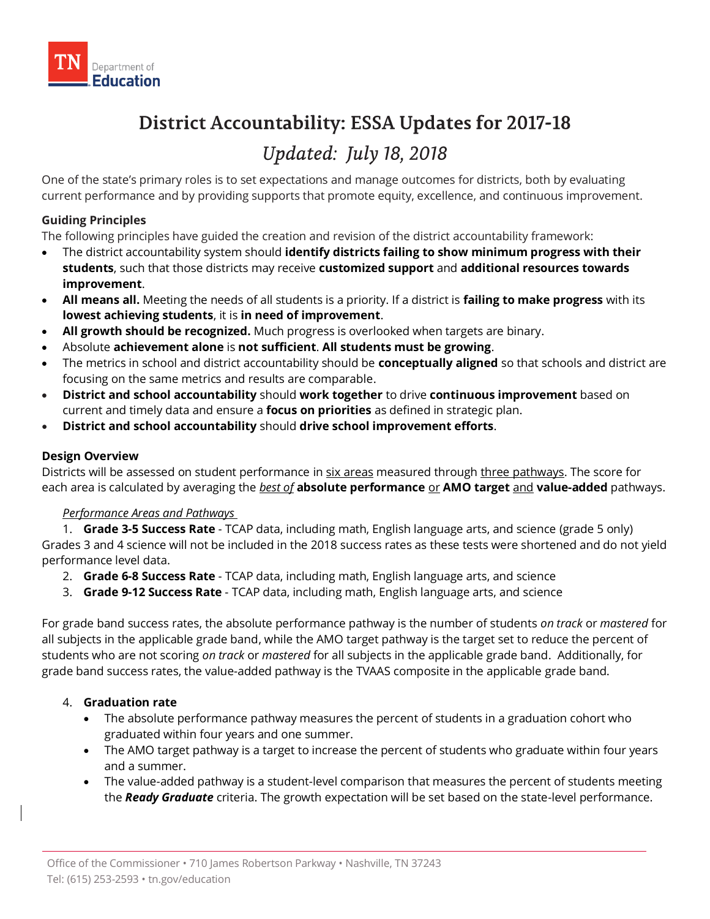# **District Accountability: ESSA Updates for 2017-18**

# Updated: July 18, 2018

 One of the state's primary roles is to set expectations and manage outcomes for districts, both by evaluating current performance and by providing supports that promote equity, excellence, and continuous improvement.

## **Guiding Principles**

The following principles have guided the creation and revision of the district accountability framework:

- The district accountability system should **identify districts failing to show minimum progress with their students**, such that those districts may receive **customized support** and **additional resources towards improvement**.
- **All means all.** Meeting the needs of all students is a priority. If a district is **failing to make progress** with its **lowest achieving students**, it is **in need of improvement**.
- **All growth should be recognized.** Much progress is overlooked when targets are binary.
- Absolute **achievement alone** is **not sufficient**. **All students must be growing**.
- The metrics in school and district accountability should be **conceptually aligned** so that schools and district are focusing on the same metrics and results are comparable.
- **District and school accountability** should **work together** to drive **continuous improvement** based on current and timely data and ensure a **focus on priorities** as defined in strategic plan.
- **District and school accountability** should **drive school improvement efforts**.

### **Design Overview**

Districts will be assessed on student performance in six areas measured through three pathways. The score for each area is calculated by averaging the *best of* **absolute performance** or **AMO target** and **value-added** pathways.

### *Performance Areas and Pathways*

 1. **Grade 3-5 Success Rate** - TCAP data, including math, English language arts, and science (grade 5 only) Grades 3 and 4 science will not be included in the 2018 success rates as these tests were shortened and do not yield performance level data.

- 2. **Grade 6-8 Success Rate**  TCAP data, including math, English language arts, and science
- 3. **Grade 9-12 Success Rate**  TCAP data, including math, English language arts, and science

 For grade band success rates, the absolute performance pathway is the number of students *on track* or *mastered* for all subjects in the applicable grade band, while the AMO target pathway is the target set to reduce the percent of students who are not scoring *on track* or *mastered* for all subjects in the applicable grade band. Additionally, for grade band success rates, the value-added pathway is the TVAAS composite in the applicable grade band.

### 4. **Graduation rate**

- The absolute performance pathway measures the percent of students in a graduation cohort who graduated within four years and one summer.
- The AMO target pathway is a target to increase the percent of students who graduate within four years and a summer.
- The value-added pathway is a student-level comparison that measures the percent of students meeting the *Ready Graduate* criteria. The growth expectation will be set based on the state-level performance.